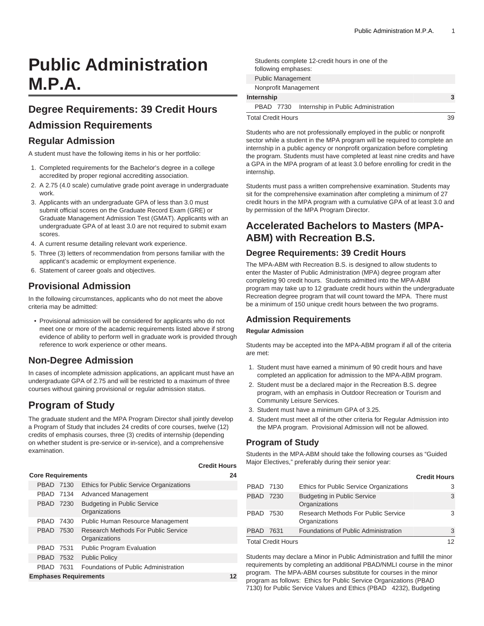# **Public Administration M.P.A.**

# **Degree Requirements: 39 Credit Hours**

# **Admission Requirements**

### **Regular Admission**

A student must have the following items in his or her portfolio:

- 1. Completed requirements for the Bachelor's degree in a college accredited by proper regional accrediting association.
- 2. A 2.75 (4.0 scale) cumulative grade point average in undergraduate work.
- 3. Applicants with an undergraduate GPA of less than 3.0 must submit official scores on the Graduate Record Exam (GRE) or Graduate Management Admission Test (GMAT). Applicants with an undergraduate GPA of at least 3.0 are not required to submit exam scores.
- 4. A current resume detailing relevant work experience.
- 5. Three (3) letters of recommendation from persons familiar with the applicant's academic or employment experience.
- 6. Statement of career goals and objectives.

# **Provisional Admission**

In the following circumstances, applicants who do not meet the above criteria may be admitted:

• Provisional admission will be considered for applicants who do not meet one or more of the academic requirements listed above if strong evidence of ability to perform well in graduate work is provided through reference to work experience or other means.

# **Non-Degree Admission**

In cases of incomplete admission applications, an applicant must have an undergraduate GPA of 2.75 and will be restricted to a maximum of three courses without gaining provisional or regular admission status.

# **Program of Study**

The graduate student and the MPA Program Director shall jointly develop a Program of Study that includes 24 credits of core courses, twelve (12) credits of emphasis courses, three (3) credits of internship (depending on whether student is pre-service or in-service), and a comprehensive examination.

#### **Credit Hours**

| <b>Core Requirements</b><br>24 |           |  |                                                      |  |  |  |  |
|--------------------------------|-----------|--|------------------------------------------------------|--|--|--|--|
|                                | PBAD 7130 |  | Ethics for Public Service Organizations              |  |  |  |  |
|                                | PBAD 7134 |  | Advanced Management                                  |  |  |  |  |
|                                | PBAD 7230 |  | <b>Budgeting in Public Service</b><br>Organizations  |  |  |  |  |
|                                | PBAD 7430 |  | Public Human Resource Management                     |  |  |  |  |
|                                | PBAD 7530 |  | Research Methods For Public Service<br>Organizations |  |  |  |  |
|                                | PBAD 7531 |  | Public Program Evaluation                            |  |  |  |  |
|                                | PBAD 7532 |  | <b>Public Policy</b>                                 |  |  |  |  |
|                                | PBAD 7631 |  | Foundations of Public Administration                 |  |  |  |  |
| <b>Emphases Requirements</b>   |           |  |                                                      |  |  |  |  |

|                           | following emphases:      | Students complete 12-credit hours in one of the |    |  |  |  |  |  |
|---------------------------|--------------------------|-------------------------------------------------|----|--|--|--|--|--|
|                           | <b>Public Management</b> |                                                 |    |  |  |  |  |  |
|                           | Nonprofit Management     |                                                 |    |  |  |  |  |  |
| Internship                | 3                        |                                                 |    |  |  |  |  |  |
| PBAD 7730                 |                          | Internship in Public Administration             |    |  |  |  |  |  |
| <b>Total Credit Hours</b> |                          |                                                 | 39 |  |  |  |  |  |

Students who are not professionally employed in the public or nonprofit sector while a student in the MPA program will be required to complete an internship in a public agency or nonprofit organization before completing the program. Students must have completed at least nine credits and have a GPA in the MPA program of at least 3.0 before enrolling for credit in the internship.

Students must pass a written comprehensive examination. Students may sit for the comprehensive examination after completing a minimum of 27 credit hours in the MPA program with a cumulative GPA of at least 3.0 and by permission of the MPA Program Director.

# **Accelerated Bachelors to Masters (MPA-ABM) with Recreation B.S.**

## **Degree Requirements: 39 Credit Hours**

The MPA-ABM with Recreation B.S. is designed to allow students to enter the Master of Public Administration (MPA) degree program after completing 90 credit hours. Students admitted into the MPA-ABM program may take up to 12 graduate credit hours within the undergraduate Recreation degree program that will count toward the MPA. There must be a minimum of 150 unique credit hours between the two programs.

#### **Admission Requirements**

#### **Regular Admission**

Students may be accepted into the MPA-ABM program if all of the criteria are met:

- 1. Student must have earned a minimum of 90 credit hours and have completed an application for admission to the MPA-ABM program.
- 2. Student must be a declared major in the Recreation B.S. degree program, with an emphasis in Outdoor Recreation or Tourism and Community Leisure Services.
- 3. Student must have a minimum GPA of 3.25.
- 4. Student must meet all of the other criteria for Regular Admission into the MPA program. Provisional Admission will not be allowed.

#### **Program of Study**

Students in the MPA-ABM should take the following courses as "Guided Major Electives," preferably during their senior year:

|                           |      |                                                      | <b>Credit Hours</b> |
|---------------------------|------|------------------------------------------------------|---------------------|
| PBAD 7130                 |      | Ethics for Public Service Organizations              |                     |
| PBAD 7230                 |      | <b>Budgeting in Public Service</b><br>Organizations  | 3                   |
| PBAD 7530                 |      | Research Methods For Public Service<br>Organizations |                     |
| <b>PBAD</b>               | 7631 | Foundations of Public Administration                 | 3                   |
| <b>Total Credit Hours</b> |      |                                                      |                     |

Students may declare a Minor in Public Administration and fulfill the minor requirements by completing an additional PBAD/NMLI course in the minor program. The MPA-ABM courses substitute for courses in the minor program as follows: Ethics for Public Service Organizations (PBAD 7130) for Public Service Values and Ethics (PBAD 4232), Budgeting